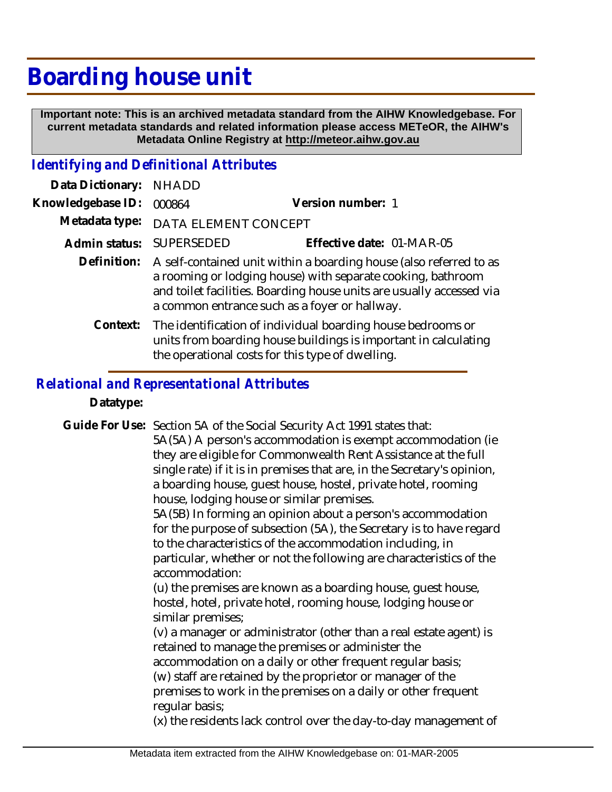## **Boarding house unit**

 **Important note: This is an archived metadata standard from the AIHW Knowledgebase. For current metadata standards and related information please access METeOR, the AIHW's Metadata Online Registry at http://meteor.aihw.gov.au**

## *Identifying and Definitional Attributes*

| Data Dictionary:  | <b>NHADD</b>                                                                                                                                                                                                                                               |                           |
|-------------------|------------------------------------------------------------------------------------------------------------------------------------------------------------------------------------------------------------------------------------------------------------|---------------------------|
| Knowledgebase ID: | 000864                                                                                                                                                                                                                                                     | Version number: 1         |
| Metadata type:    | DATA ELEMENT CONCEPT                                                                                                                                                                                                                                       |                           |
| Admin status:     | <b>SUPERSEDED</b>                                                                                                                                                                                                                                          | Effective date: 01-MAR-05 |
| Definition:       | A self-contained unit within a boarding house (also referred to as<br>a rooming or lodging house) with separate cooking, bathroom<br>and toilet facilities. Boarding house units are usually accessed via<br>a common entrance such as a foyer or hallway. |                           |
| Context:          | The identification of individual boarding house bedrooms or<br>units from boarding house buildings is important in calculating<br>the operational costs for this type of dwelling.                                                                         |                           |

## *Relational and Representational Attributes*

**Datatype:**

Guide For Use: Section 5A of the Social Security Act 1991 states that:

5A(5A) A person's accommodation is exempt accommodation (ie they are eligible for Commonwealth Rent Assistance at the full single rate) if it is in premises that are, in the Secretary's opinion, a boarding house, guest house, hostel, private hotel, rooming house, lodging house or similar premises.

5A(5B) In forming an opinion about a person's accommodation for the purpose of subsection (5A), the Secretary is to have regard to the characteristics of the accommodation including, in particular, whether or not the following are characteristics of the accommodation:

(u) the premises are known as a boarding house, guest house, hostel, hotel, private hotel, rooming house, lodging house or similar premises;

(v) a manager or administrator (other than a real estate agent) is retained to manage the premises or administer the accommodation on a daily or other frequent regular basis; (w) staff are retained by the proprietor or manager of the premises to work in the premises on a daily or other frequent regular basis;

(x) the residents lack control over the day-to-day management of